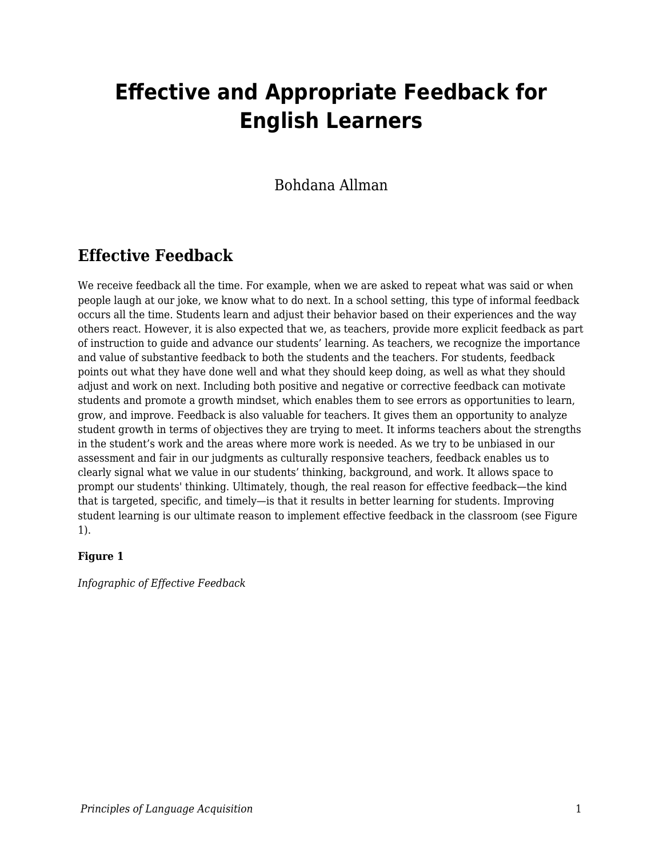# **Effective and Appropriate Feedback for English Learners**

### Bohdana Allman

# **Effective Feedback**

We receive feedback all the time. For example, when we are asked to repeat what was said or when people laugh at our joke, we know what to do next. In a school setting, this type of informal feedback occurs all the time. Students learn and adjust their behavior based on their experiences and the way others react. However, it is also expected that we, as teachers, provide more explicit feedback as part of instruction to guide and advance our students' learning. As teachers, we recognize the importance and value of substantive feedback to both the students and the teachers. For students, feedback points out what they have done well and what they should keep doing, as well as what they should adjust and work on next. Including both positive and negative or corrective feedback can motivate students and promote a growth mindset, which enables them to see errors as opportunities to learn, grow, and improve. Feedback is also valuable for teachers. It gives them an opportunity to analyze student growth in terms of objectives they are trying to meet. It informs teachers about the strengths in the student's work and the areas where more work is needed. As we try to be unbiased in our assessment and fair in our judgments as culturally responsive teachers, feedback enables us to clearly signal what we value in our students' thinking, background, and work. It allows space to prompt our students' thinking. Ultimately, though, the real reason for effective feedback—the kind that is targeted, specific, and timely—is that it results in better learning for students. Improving student learning is our ultimate reason to implement effective feedback in the classroom (see Figure 1).

### **Figure 1**

*Infographic of Effective Feedback*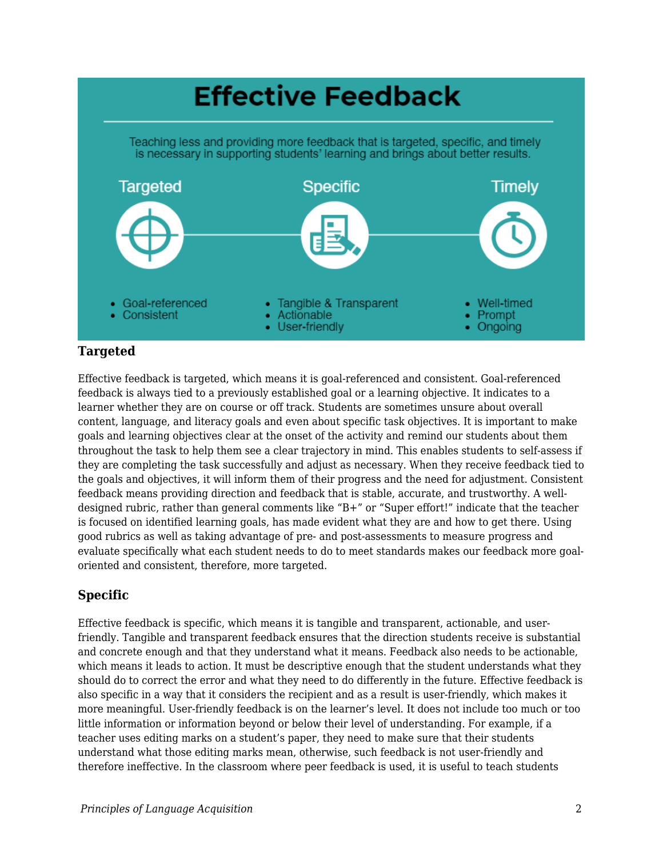

### **Targeted**

Effective feedback is targeted, which means it is goal-referenced and consistent. Goal-referenced feedback is always tied to a previously established goal or a learning objective. It indicates to a learner whether they are on course or off track. Students are sometimes unsure about overall content, language, and literacy goals and even about specific task objectives. It is important to make goals and learning objectives clear at the onset of the activity and remind our students about them throughout the task to help them see a clear trajectory in mind. This enables students to self-assess if they are completing the task successfully and adjust as necessary. When they receive feedback tied to the goals and objectives, it will inform them of their progress and the need for adjustment. Consistent feedback means providing direction and feedback that is stable, accurate, and trustworthy. A welldesigned rubric, rather than general comments like "B+" or "Super effort!" indicate that the teacher is focused on identified learning goals, has made evident what they are and how to get there. Using good rubrics as well as taking advantage of pre- and post-assessments to measure progress and evaluate specifically what each student needs to do to meet standards makes our feedback more goaloriented and consistent, therefore, more targeted.

### **Specific**

Effective feedback is specific, which means it is tangible and transparent, actionable, and userfriendly. Tangible and transparent feedback ensures that the direction students receive is substantial and concrete enough and that they understand what it means. Feedback also needs to be actionable, which means it leads to action. It must be descriptive enough that the student understands what they should do to correct the error and what they need to do differently in the future. Effective feedback is also specific in a way that it considers the recipient and as a result is user-friendly, which makes it more meaningful. User-friendly feedback is on the learner's level. It does not include too much or too little information or information beyond or below their level of understanding. For example, if a teacher uses editing marks on a student's paper, they need to make sure that their students understand what those editing marks mean, otherwise, such feedback is not user-friendly and therefore ineffective. In the classroom where peer feedback is used, it is useful to teach students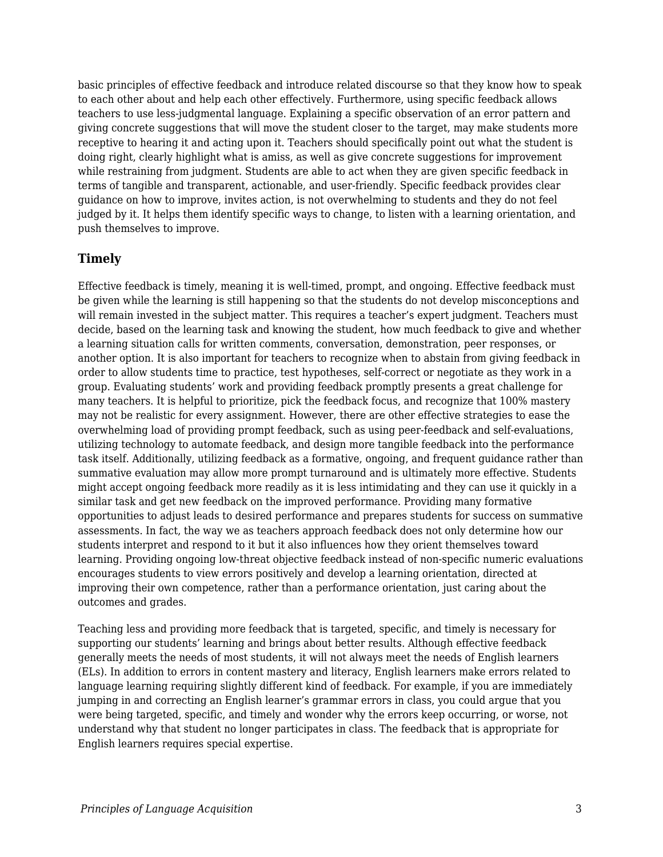basic principles of effective feedback and introduce related discourse so that they know how to speak to each other about and help each other effectively. Furthermore, using specific feedback allows teachers to use less-judgmental language. Explaining a specific observation of an error pattern and giving concrete suggestions that will move the student closer to the target, may make students more receptive to hearing it and acting upon it. Teachers should specifically point out what the student is doing right, clearly highlight what is amiss, as well as give concrete suggestions for improvement while restraining from judgment. Students are able to act when they are given specific feedback in terms of tangible and transparent, actionable, and user-friendly. Specific feedback provides clear guidance on how to improve, invites action, is not overwhelming to students and they do not feel judged by it. It helps them identify specific ways to change, to listen with a learning orientation, and push themselves to improve.

### **Timely**

Effective feedback is timely, meaning it is well-timed, prompt, and ongoing. Effective feedback must be given while the learning is still happening so that the students do not develop misconceptions and will remain invested in the subject matter. This requires a teacher's expert judgment. Teachers must decide, based on the learning task and knowing the student, how much feedback to give and whether a learning situation calls for written comments, conversation, demonstration, peer responses, or another option. It is also important for teachers to recognize when to abstain from giving feedback in order to allow students time to practice, test hypotheses, self-correct or negotiate as they work in a group. Evaluating students' work and providing feedback promptly presents a great challenge for many teachers. It is helpful to prioritize, pick the feedback focus, and recognize that 100% mastery may not be realistic for every assignment. However, there are other effective strategies to ease the overwhelming load of providing prompt feedback, such as using peer-feedback and self-evaluations, utilizing technology to automate feedback, and design more tangible feedback into the performance task itself. Additionally, utilizing feedback as a formative, ongoing, and frequent guidance rather than summative evaluation may allow more prompt turnaround and is ultimately more effective. Students might accept ongoing feedback more readily as it is less intimidating and they can use it quickly in a similar task and get new feedback on the improved performance. Providing many formative opportunities to adjust leads to desired performance and prepares students for success on summative assessments. In fact, the way we as teachers approach feedback does not only determine how our students interpret and respond to it but it also influences how they orient themselves toward learning. Providing ongoing low-threat objective feedback instead of non-specific numeric evaluations encourages students to view errors positively and develop a learning orientation, directed at improving their own competence, rather than a performance orientation, just caring about the outcomes and grades.

Teaching less and providing more feedback that is targeted, specific, and timely is necessary for supporting our students' learning and brings about better results. Although effective feedback generally meets the needs of most students, it will not always meet the needs of English learners (ELs). In addition to errors in content mastery and literacy, English learners make errors related to language learning requiring slightly different kind of feedback. For example, if you are immediately jumping in and correcting an English learner's grammar errors in class, you could argue that you were being targeted, specific, and timely and wonder why the errors keep occurring, or worse, not understand why that student no longer participates in class. The feedback that is appropriate for English learners requires special expertise.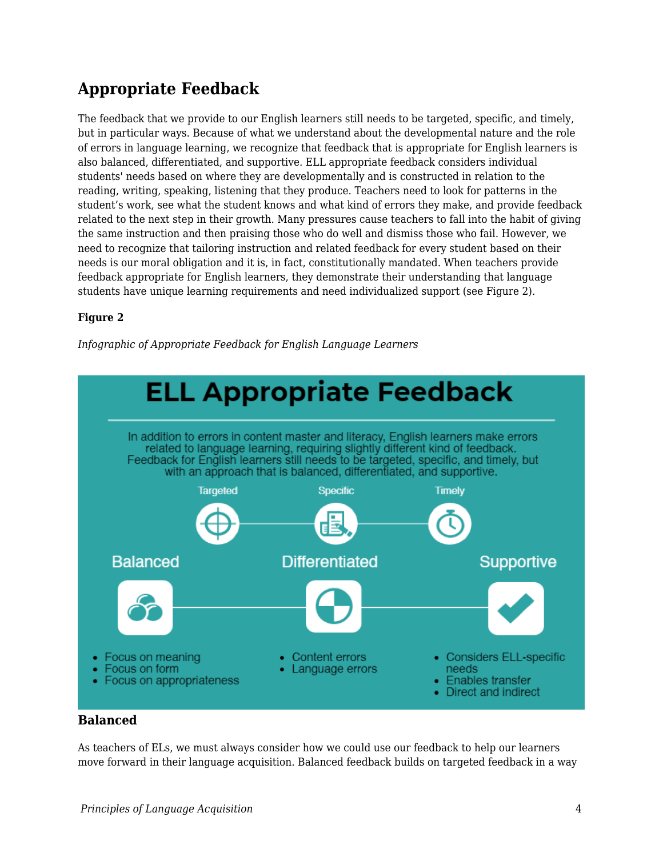# **Appropriate Feedback**

The feedback that we provide to our English learners still needs to be targeted, specific, and timely, but in particular ways. Because of what we understand about the developmental nature and the role of errors in language learning, we recognize that feedback that is appropriate for English learners is also balanced, differentiated, and supportive. ELL appropriate feedback considers individual students' needs based on where they are developmentally and is constructed in relation to the reading, writing, speaking, listening that they produce. Teachers need to look for patterns in the student's work, see what the student knows and what kind of errors they make, and provide feedback related to the next step in their growth. Many pressures cause teachers to fall into the habit of giving the same instruction and then praising those who do well and dismiss those who fail. However, we need to recognize that tailoring instruction and related feedback for every student based on their needs is our moral obligation and it is, in fact, constitutionally mandated. When teachers provide feedback appropriate for English learners, they demonstrate their understanding that language students have unique learning requirements and need individualized support (see Figure 2).

### **Figure 2**

*Infographic of Appropriate Feedback for English Language Learners*



### **Balanced**

As teachers of ELs, we must always consider how we could use our feedback to help our learners move forward in their language acquisition. Balanced feedback builds on targeted feedback in a way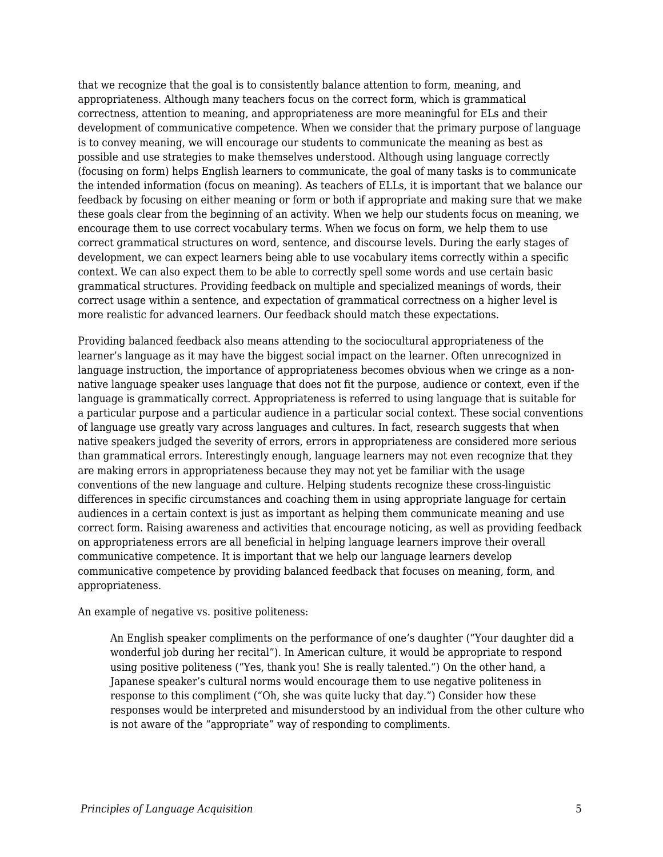that we recognize that the goal is to consistently balance attention to form, meaning, and appropriateness. Although many teachers focus on the correct form, which is grammatical correctness, attention to meaning, and appropriateness are more meaningful for ELs and their development of communicative competence. When we consider that the primary purpose of language is to convey meaning, we will encourage our students to communicate the meaning as best as possible and use strategies to make themselves understood. Although using language correctly (focusing on form) helps English learners to communicate, the goal of many tasks is to communicate the intended information (focus on meaning). As teachers of ELLs, it is important that we balance our feedback by focusing on either meaning or form or both if appropriate and making sure that we make these goals clear from the beginning of an activity. When we help our students focus on meaning, we encourage them to use correct vocabulary terms. When we focus on form, we help them to use correct grammatical structures on word, sentence, and discourse levels. During the early stages of development, we can expect learners being able to use vocabulary items correctly within a specific context. We can also expect them to be able to correctly spell some words and use certain basic grammatical structures. Providing feedback on multiple and specialized meanings of words, their correct usage within a sentence, and expectation of grammatical correctness on a higher level is more realistic for advanced learners. Our feedback should match these expectations.

Providing balanced feedback also means attending to the sociocultural appropriateness of the learner's language as it may have the biggest social impact on the learner. Often unrecognized in language instruction, the importance of appropriateness becomes obvious when we cringe as a nonnative language speaker uses language that does not fit the purpose, audience or context, even if the language is grammatically correct. Appropriateness is referred to using language that is suitable for a particular purpose and a particular audience in a particular social context. These social conventions of language use greatly vary across languages and cultures. In fact, research suggests that when native speakers judged the severity of errors, errors in appropriateness are considered more serious than grammatical errors. Interestingly enough, language learners may not even recognize that they are making errors in appropriateness because they may not yet be familiar with the usage conventions of the new language and culture. Helping students recognize these cross-linguistic differences in specific circumstances and coaching them in using appropriate language for certain audiences in a certain context is just as important as helping them communicate meaning and use correct form. Raising awareness and activities that encourage noticing, as well as providing feedback on appropriateness errors are all beneficial in helping language learners improve their overall communicative competence. It is important that we help our language learners develop communicative competence by providing balanced feedback that focuses on meaning, form, and appropriateness.

An example of negative vs. positive politeness:

An English speaker compliments on the performance of one's daughter ("Your daughter did a wonderful job during her recital"). In American culture, it would be appropriate to respond using positive politeness ("Yes, thank you! She is really talented.") On the other hand, a Japanese speaker's cultural norms would encourage them to use negative politeness in response to this compliment ("Oh, she was quite lucky that day.") Consider how these responses would be interpreted and misunderstood by an individual from the other culture who is not aware of the "appropriate" way of responding to compliments.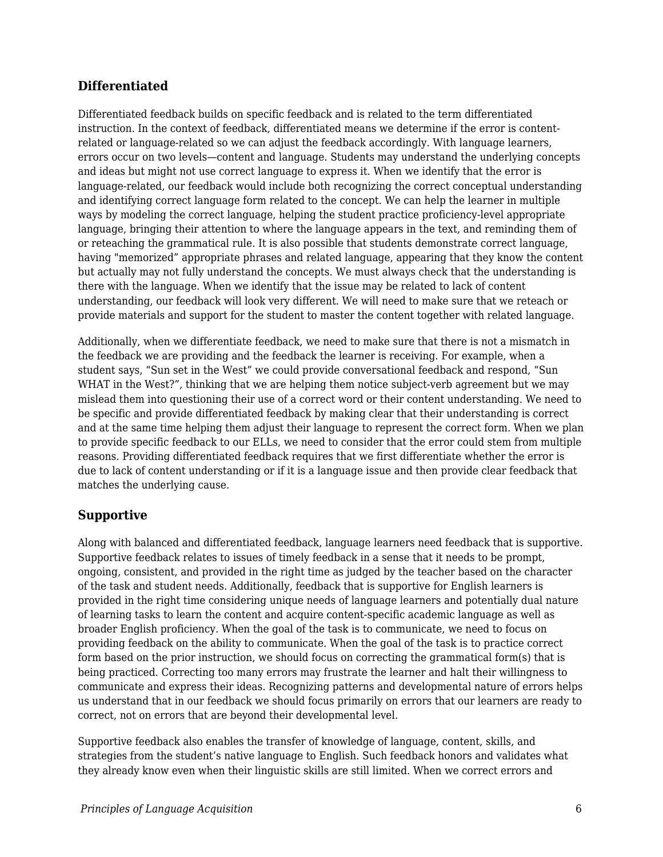### **Differentiated**

Differentiated feedback builds on specific feedback and is related to the term differentiated instruction. In the context of feedback, differentiated means we determine if the error is contentrelated or language-related so we can adjust the feedback accordingly. With language learners, errors occur on two levels—content and language. Students may understand the underlying concepts and ideas but might not use correct language to express it. When we identify that the error is language-related, our feedback would include both recognizing the correct conceptual understanding and identifying correct language form related to the concept. We can help the learner in multiple ways by modeling the correct language, helping the student practice proficiency-level appropriate language, bringing their attention to where the language appears in the text, and reminding them of or reteaching the grammatical rule. It is also possible that students demonstrate correct language, having "memorized" appropriate phrases and related language, appearing that they know the content but actually may not fully understand the concepts. We must always check that the understanding is there with the language. When we identify that the issue may be related to lack of content understanding, our feedback will look very different. We will need to make sure that we reteach or provide materials and support for the student to master the content together with related language.

Additionally, when we differentiate feedback, we need to make sure that there is not a mismatch in the feedback we are providing and the feedback the learner is receiving. For example, when a student says, "Sun set in the West" we could provide conversational feedback and respond, "Sun WHAT in the West?", thinking that we are helping them notice subject-verb agreement but we may mislead them into questioning their use of a correct word or their content understanding. We need to be specific and provide differentiated feedback by making clear that their understanding is correct and at the same time helping them adjust their language to represent the correct form. When we plan to provide specific feedback to our ELLs, we need to consider that the error could stem from multiple reasons. Providing differentiated feedback requires that we first differentiate whether the error is due to lack of content understanding or if it is a language issue and then provide clear feedback that matches the underlying cause.

### **Supportive**

Along with balanced and differentiated feedback, language learners need feedback that is supportive. Supportive feedback relates to issues of timely feedback in a sense that it needs to be prompt, ongoing, consistent, and provided in the right time as judged by the teacher based on the character of the task and student needs. Additionally, feedback that is supportive for English learners is provided in the right time considering unique needs of language learners and potentially dual nature of learning tasks to learn the content and acquire content-specific academic language as well as broader English proficiency. When the goal of the task is to communicate, we need to focus on providing feedback on the ability to communicate. When the goal of the task is to practice correct form based on the prior instruction, we should focus on correcting the grammatical form(s) that is being practiced. Correcting too many errors may frustrate the learner and halt their willingness to communicate and express their ideas. Recognizing patterns and developmental nature of errors helps us understand that in our feedback we should focus primarily on errors that our learners are ready to correct, not on errors that are beyond their developmental level.

Supportive feedback also enables the transfer of knowledge of language, content, skills, and strategies from the student's native language to English. Such feedback honors and validates what they already know even when their linguistic skills are still limited. When we correct errors and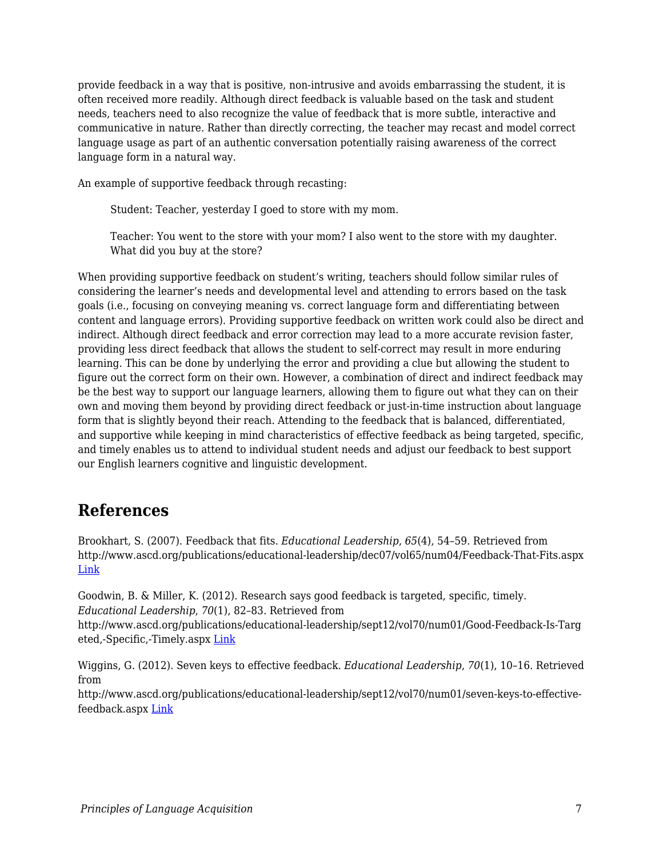provide feedback in a way that is positive, non-intrusive and avoids embarrassing the student, it is often received more readily. Although direct feedback is valuable based on the task and student needs, teachers need to also recognize the value of feedback that is more subtle, interactive and communicative in nature. Rather than directly correcting, the teacher may recast and model correct language usage as part of an authentic conversation potentially raising awareness of the correct language form in a natural way.

An example of supportive feedback through recasting:

Student: Teacher, yesterday I goed to store with my mom.

Teacher: You went to the store with your mom? I also went to the store with my daughter. What did you buy at the store?

When providing supportive feedback on student's writing, teachers should follow similar rules of considering the learner's needs and developmental level and attending to errors based on the task goals (i.e., focusing on conveying meaning vs. correct language form and differentiating between content and language errors). Providing supportive feedback on written work could also be direct and indirect. Although direct feedback and error correction may lead to a more accurate revision faster, providing less direct feedback that allows the student to self-correct may result in more enduring learning. This can be done by underlying the error and providing a clue but allowing the student to figure out the correct form on their own. However, a combination of direct and indirect feedback may be the best way to support our language learners, allowing them to figure out what they can on their own and moving them beyond by providing direct feedback or just-in-time instruction about language form that is slightly beyond their reach. Attending to the feedback that is balanced, differentiated, and supportive while keeping in mind characteristics of effective feedback as being targeted, specific, and timely enables us to attend to individual student needs and adjust our feedback to best support our English learners cognitive and linguistic development.

## **References**

Brookhart, S. (2007). Feedback that fits. *Educational Leadership*, *65*(4), 54–59. Retrieved from http://www.ascd.org/publications/educational-leadership/dec07/vol65/num04/Feedback-That-Fits.aspx [Link](http://www.ascd.org/publications/educational-leadership/dec07/vol65/num04/Feedback-That-Fits.aspx)

Goodwin, B. & Miller, K. (2012). Research says good feedback is targeted, specific, timely. *Educational Leadership*, *70*(1), 82–83. Retrieved from http://www.ascd.org/publications/educational-leadership/sept12/vol70/num01/Good-Feedback-Is-Targ eted,-Specific,-Timely.aspx [Link](http://www.ascd.org/publications/educational-leadership/sept12/vol70/num01/Good-Feedback-Is-Targeted,-Specific,-Timely.aspx)

Wiggins, G. (2012). Seven keys to effective feedback. *Educational Leadership*, *70*(1), 10–16. Retrieved from

http://www.ascd.org/publications/educational-leadership/sept12/vol70/num01/seven-keys-to-effectivefeedback.aspx [Link](http://www.ascd.org/publications/educational-leadership/sept12/vol70/num01/seven-keys-to-effective-feedback.aspx)